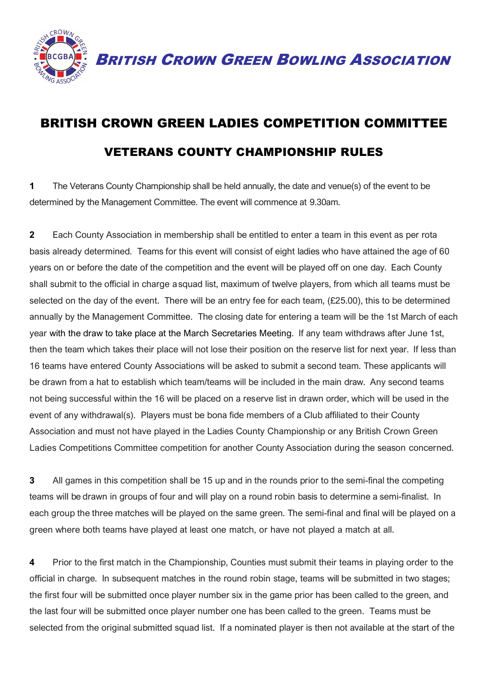

BRITISH CROWN GREEN BOWLING ASSOCIATION

## BRITISH CROWN GREEN LADIES COMPETITION COMMITTEE VETERANS COUNTY CHAMPIONSHIP RULES

**1** The Veterans County Championship shall be held annually, the date and venue(s) of the event to be determined by the Management Committee. The event will commence at 9.30am.

**2** Each County Association in membership shall be entitled to enter a team in this event as per rota basis already determined. Teams for this event will consist of eight ladies who have attained the age of 60 years on or before the date of the competition and the event will be played off on one day. Each County shall submit to the official in charge a squad list, maximum of twelve players, from which all teams must be selected on the day of the event. There will be an entry fee for each team, (£25.00), this to be determined annually by the Management Committee. The closing date for entering a team will be the 1st March of each year with the draw to take place at the March Secretaries Meeting. If any team withdraws after June 1st, then the team which takes their place will not lose their position on the reserve list for next year. If less than 16 teams have entered County Associations will be asked to submit a second team. These applicants will be drawn from a hat to establish which team/teams will be included in the main draw. Any second teams not being successful within the 16 will be placed on a reserve list in drawn order, which will be used in the event of any withdrawal(s). Players must be bona fide members of a Club affiliated to their County Association and must not have played in the Ladies County Championship or any British Crown Green Ladies Competitions Committee competition for another County Association during the season concerned.

**3** All games in this competition shall be 15 up and in the rounds prior to the semi-final the competing teams will be drawn in groups of four and will play on a round robin basis to determine a semi-finalist. In each group the three matches will be played on the same green. The semi-final and final will be played on a green where both teams have played at least one match, or have not played a match at all.

**4** Prior to the first match in the Championship, Counties must submit their teams in playing order to the official in charge. In subsequent matches in the round robin stage, teams will be submitted in two stages; the first four will be submitted once player number six in the game prior has been called to the green, and the last four will be submitted once player number one has been called to the green. Teams must be selected from the original submitted squad list. If a nominated player is then not available at the start of the